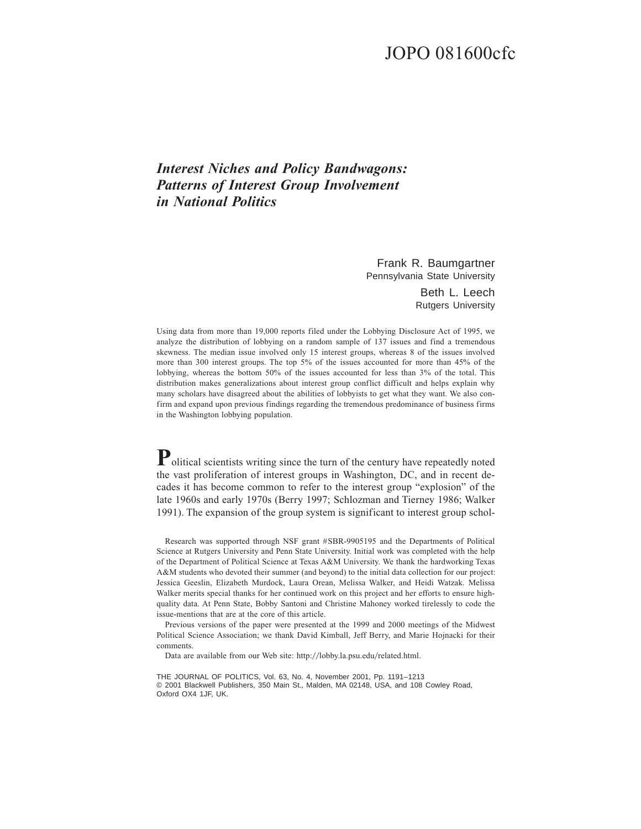# *Interest Niches and Policy Bandwagons: Patterns of Interest Group Involvement in National Politics*

Frank R. Baumgartner Pennsylvania State University Beth L<sub>-</sub> Leech Rutgers University

Using data from more than 19,000 reports filed under the Lobbying Disclosure Act of 1995, we analyze the distribution of lobbying on a random sample of 137 issues and find a tremendous skewness. The median issue involved only 15 interest groups, whereas 8 of the issues involved more than 300 interest groups. The top 5% of the issues accounted for more than 45% of the lobbying, whereas the bottom 50% of the issues accounted for less than 3% of the total. This distribution makes generalizations about interest group conflict difficult and helps explain why many scholars have disagreed about the abilities of lobbyists to get what they want. We also confirm and expand upon previous findings regarding the tremendous predominance of business firms in the Washington lobbying population.

**P**olitical scientists writing since the turn of the century have repeatedly noted the vast proliferation of interest groups in Washington, DC, and in recent decades it has become common to refer to the interest group "explosion" of the late 1960s and early 1970s (Berry 1997; Schlozman and Tierney 1986; Walker 1991). The expansion of the group system is significant to interest group schol-

Research was supported through NSF grant #SBR-9905195 and the Departments of Political Science at Rutgers University and Penn State University. Initial work was completed with the help of the Department of Political Science at Texas A&M University. We thank the hardworking Texas A&M students who devoted their summer (and beyond) to the initial data collection for our project: Jessica Geeslin, Elizabeth Murdock, Laura Orean, Melissa Walker, and Heidi Watzak. Melissa Walker merits special thanks for her continued work on this project and her efforts to ensure highquality data. At Penn State, Bobby Santoni and Christine Mahoney worked tirelessly to code the issue-mentions that are at the core of this article.

Previous versions of the paper were presented at the 1999 and 2000 meetings of the Midwest Political Science Association; we thank David Kimball, Jeff Berry, and Marie Hojnacki for their comments.

Data are available from our Web site: http://lobby.la.psu.edu/related.html.

THE JOURNAL OF POLITICS, Vol. 63, No. 4, November 2001, Pp. 1191-1213 © 2001 Blackwell Publishers, 350 Main St+, Malden, MA 02148, USA, and 108 Cowley Road, Oxford OX4 1JF, UK+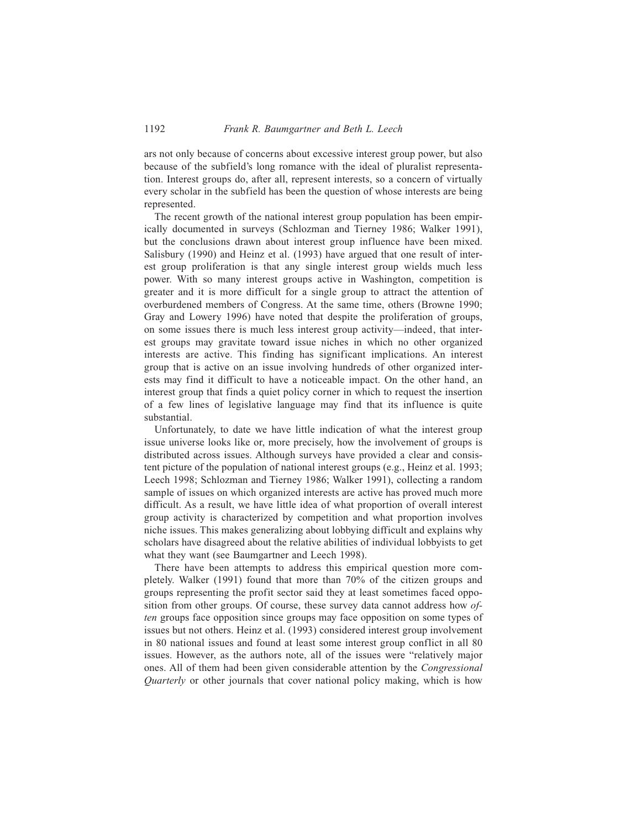ars not only because of concerns about excessive interest group power, but also because of the subfield's long romance with the ideal of pluralist representation. Interest groups do, after all, represent interests, so a concern of virtually every scholar in the subfield has been the question of whose interests are being represented.

The recent growth of the national interest group population has been empirically documented in surveys (Schlozman and Tierney 1986; Walker 1991), but the conclusions drawn about interest group influence have been mixed. Salisbury (1990) and Heinz et al. (1993) have argued that one result of interest group proliferation is that any single interest group wields much less power. With so many interest groups active in Washington, competition is greater and it is more difficult for a single group to attract the attention of overburdened members of Congress. At the same time, others (Browne 1990; Gray and Lowery 1996) have noted that despite the proliferation of groups, on some issues there is much less interest group activity—indeed, that interest groups may gravitate toward issue niches in which no other organized interests are active. This finding has significant implications. An interest group that is active on an issue involving hundreds of other organized interests may find it difficult to have a noticeable impact. On the other hand, an interest group that finds a quiet policy corner in which to request the insertion of a few lines of legislative language may find that its influence is quite substantial.

Unfortunately, to date we have little indication of what the interest group issue universe looks like or, more precisely, how the involvement of groups is distributed across issues. Although surveys have provided a clear and consistent picture of the population of national interest groups (e.g., Heinz et al. 1993; Leech 1998; Schlozman and Tierney 1986; Walker 1991), collecting a random sample of issues on which organized interests are active has proved much more difficult. As a result, we have little idea of what proportion of overall interest group activity is characterized by competition and what proportion involves niche issues. This makes generalizing about lobbying difficult and explains why scholars have disagreed about the relative abilities of individual lobbyists to get what they want (see Baumgartner and Leech 1998).

There have been attempts to address this empirical question more completely. Walker (1991) found that more than 70% of the citizen groups and groups representing the profit sector said they at least sometimes faced opposition from other groups. Of course, these survey data cannot address how *often* groups face opposition since groups may face opposition on some types of issues but not others. Heinz et al. (1993) considered interest group involvement in 80 national issues and found at least some interest group conflict in all 80 issues. However, as the authors note, all of the issues were "relatively major ones. All of them had been given considerable attention by the *Congressional Quarterly* or other journals that cover national policy making, which is how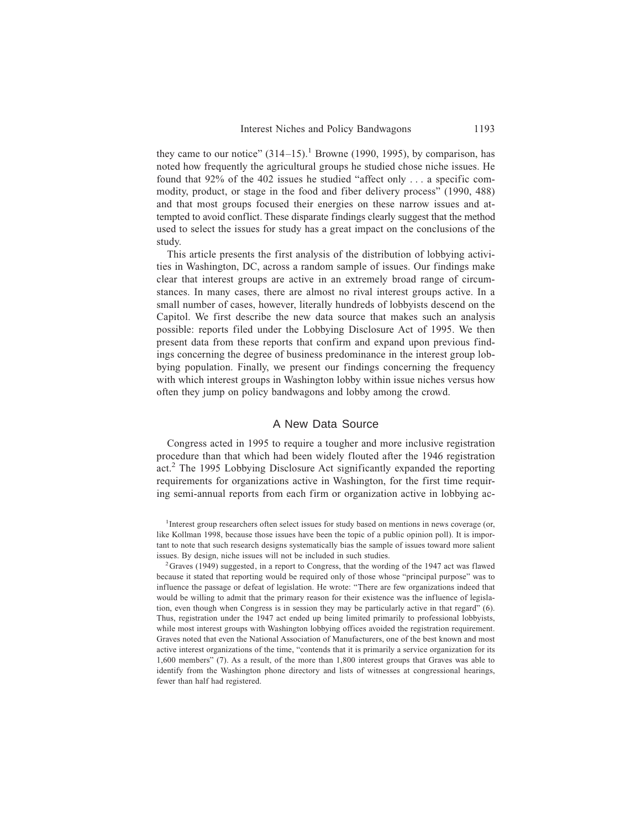they came to our notice"  $(314-15)$ .<sup>1</sup> Browne (1990, 1995), by comparison, has noted how frequently the agricultural groups he studied chose niche issues. He found that 92% of the 402 issues he studied "affect only . . . a specific commodity, product, or stage in the food and fiber delivery process" (1990, 488) and that most groups focused their energies on these narrow issues and attempted to avoid conflict. These disparate findings clearly suggest that the method used to select the issues for study has a great impact on the conclusions of the study.

This article presents the first analysis of the distribution of lobbying activities in Washington, DC, across a random sample of issues. Our findings make clear that interest groups are active in an extremely broad range of circumstances. In many cases, there are almost no rival interest groups active. In a small number of cases, however, literally hundreds of lobbyists descend on the Capitol. We first describe the new data source that makes such an analysis possible: reports filed under the Lobbying Disclosure Act of 1995. We then present data from these reports that confirm and expand upon previous findings concerning the degree of business predominance in the interest group lobbying population. Finally, we present our findings concerning the frequency with which interest groups in Washington lobby within issue niches versus how often they jump on policy bandwagons and lobby among the crowd.

#### A New Data Source

Congress acted in 1995 to require a tougher and more inclusive registration procedure than that which had been widely flouted after the 1946 registration act.2 The 1995 Lobbying Disclosure Act significantly expanded the reporting requirements for organizations active in Washington, for the first time requiring semi-annual reports from each firm or organization active in lobbying ac-

<sup>1</sup>Interest group researchers often select issues for study based on mentions in news coverage (or, like Kollman 1998, because those issues have been the topic of a public opinion poll). It is important to note that such research designs systematically bias the sample of issues toward more salient issues. By design, niche issues will not be included in such studies.

<sup>2</sup> Graves (1949) suggested, in a report to Congress, that the wording of the 1947 act was flawed because it stated that reporting would be required only of those whose "principal purpose" was to influence the passage or defeat of legislation. He wrote: "There are few organizations indeed that would be willing to admit that the primary reason for their existence was the influence of legislation, even though when Congress is in session they may be particularly active in that regard" (6). Thus, registration under the 1947 act ended up being limited primarily to professional lobbyists, while most interest groups with Washington lobbying offices avoided the registration requirement. Graves noted that even the National Association of Manufacturers, one of the best known and most active interest organizations of the time, "contends that it is primarily a service organization for its 1,600 members" (7). As a result, of the more than 1,800 interest groups that Graves was able to identify from the Washington phone directory and lists of witnesses at congressional hearings, fewer than half had registered.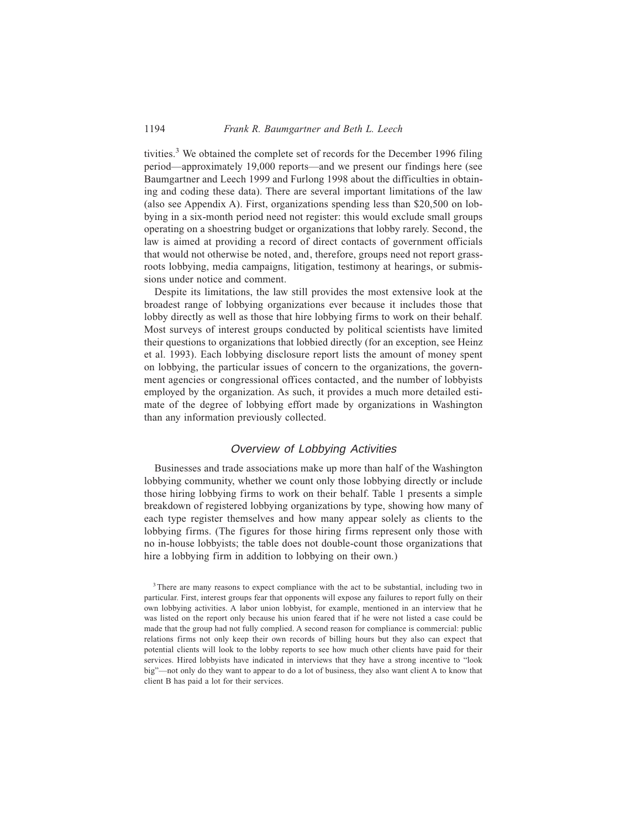tivities.<sup>3</sup> We obtained the complete set of records for the December 1996 filing period—approximately 19,000 reports—and we present our findings here (see Baumgartner and Leech 1999 and Furlong 1998 about the difficulties in obtaining and coding these data). There are several important limitations of the law (also see Appendix A). First, organizations spending less than \$20,500 on lobbying in a six-month period need not register: this would exclude small groups operating on a shoestring budget or organizations that lobby rarely. Second, the law is aimed at providing a record of direct contacts of government officials that would not otherwise be noted, and, therefore, groups need not report grassroots lobbying, media campaigns, litigation, testimony at hearings, or submissions under notice and comment.

Despite its limitations, the law still provides the most extensive look at the broadest range of lobbying organizations ever because it includes those that lobby directly as well as those that hire lobbying firms to work on their behalf. Most surveys of interest groups conducted by political scientists have limited their questions to organizations that lobbied directly (for an exception, see Heinz et al. 1993). Each lobbying disclosure report lists the amount of money spent on lobbying, the particular issues of concern to the organizations, the government agencies or congressional offices contacted, and the number of lobbyists employed by the organization. As such, it provides a much more detailed estimate of the degree of lobbying effort made by organizations in Washington than any information previously collected.

## Overview of Lobbying Activities

Businesses and trade associations make up more than half of the Washington lobbying community, whether we count only those lobbying directly or include those hiring lobbying firms to work on their behalf. Table 1 presents a simple breakdown of registered lobbying organizations by type, showing how many of each type register themselves and how many appear solely as clients to the lobbying firms. (The figures for those hiring firms represent only those with no in-house lobbyists; the table does not double-count those organizations that hire a lobbying firm in addition to lobbying on their own.)

<sup>3</sup>There are many reasons to expect compliance with the act to be substantial, including two in particular. First, interest groups fear that opponents will expose any failures to report fully on their own lobbying activities. A labor union lobbyist, for example, mentioned in an interview that he was listed on the report only because his union feared that if he were not listed a case could be made that the group had not fully complied. A second reason for compliance is commercial: public relations firms not only keep their own records of billing hours but they also can expect that potential clients will look to the lobby reports to see how much other clients have paid for their services. Hired lobbyists have indicated in interviews that they have a strong incentive to "look big"—not only do they want to appear to do a lot of business, they also want client A to know that client B has paid a lot for their services.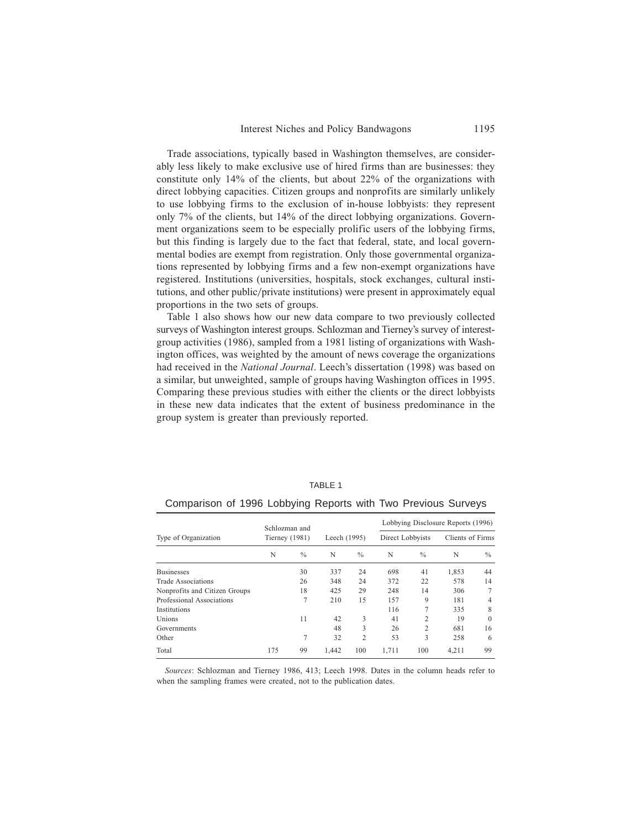Trade associations, typically based in Washington themselves, are considerably less likely to make exclusive use of hired firms than are businesses: they constitute only 14% of the clients, but about 22% of the organizations with direct lobbying capacities. Citizen groups and nonprofits are similarly unlikely to use lobbying firms to the exclusion of in-house lobbyists: they represent only 7% of the clients, but 14% of the direct lobbying organizations. Government organizations seem to be especially prolific users of the lobbying firms, but this finding is largely due to the fact that federal, state, and local governmental bodies are exempt from registration. Only those governmental organizations represented by lobbying firms and a few non-exempt organizations have registered. Institutions (universities, hospitals, stock exchanges, cultural institutions, and other public/private institutions) were present in approximately equal proportions in the two sets of groups.

Table 1 also shows how our new data compare to two previously collected surveys of Washington interest groups. Schlozman and Tierney's survey of interestgroup activities (1986), sampled from a 1981 listing of organizations with Washington offices, was weighted by the amount of news coverage the organizations had received in the *National Journal*. Leech's dissertation (1998) was based on a similar, but unweighted, sample of groups having Washington offices in 1995. Comparing these previous studies with either the clients or the direct lobbyists in these new data indicates that the extent of business predominance in the group system is greater than previously reported.

|                               | Schlozman and    |               |              |                |                  |                | Lobbying Disclosure Reports (1996) |          |
|-------------------------------|------------------|---------------|--------------|----------------|------------------|----------------|------------------------------------|----------|
| Type of Organization          | Tierney $(1981)$ |               | Leech (1995) |                | Direct Lobbyists |                | Clients of Firms                   |          |
|                               | N                | $\frac{0}{0}$ | N            | $\frac{0}{0}$  | N                | $\frac{0}{0}$  | N                                  | $\%$     |
| <b>Businesses</b>             |                  | 30            | 337          | 24             | 698              | 41             | 1.853                              | 44       |
| Trade Associations            |                  | 26            | 348          | 24             | 372              | 22             | 578                                | 14       |
| Nonprofits and Citizen Groups |                  | 18            | 425          | 29             | 248              | 14             | 306                                | 7        |
| Professional Associations     |                  | 7             | 210          | 15             | 157              | 9              | 181                                | 4        |
| <b>Institutions</b>           |                  |               |              |                | 116              | 7              | 335                                | 8        |
| Unions                        |                  | 11            | 42           | 3              | 41               | $\overline{c}$ | 19                                 | $\Omega$ |
| Governments                   |                  |               | 48           | 3              | 26               | $\overline{c}$ | 681                                | 16       |
| Other                         |                  | 7             | 32           | $\overline{c}$ | 53               | 3              | 258                                | 6        |
| Total                         | 175              | 99            | 1.442        | 100            | 1.711            | 100            | 4,211                              | 99       |

#### TABLE 1

#### Comparison of 1996 Lobbying Reports with Two Previous Surveys

*Sources*: Schlozman and Tierney 1986, 413; Leech 1998. Dates in the column heads refer to when the sampling frames were created, not to the publication dates.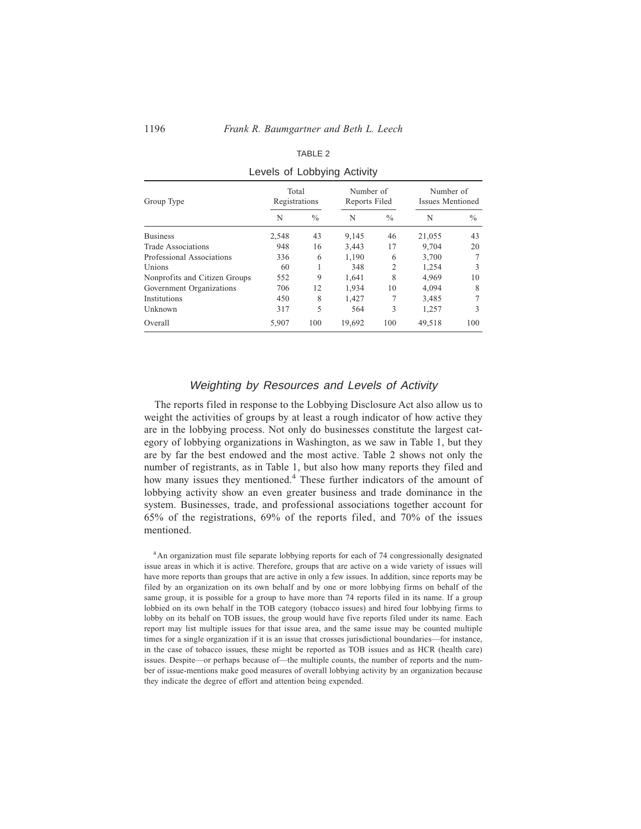| Group Type                    | Total<br>Registrations |               | Number of<br>Reports Filed |                | Number of<br>Issues Mentioned |      |
|-------------------------------|------------------------|---------------|----------------------------|----------------|-------------------------------|------|
|                               | N                      | $\frac{0}{0}$ | N                          | $\frac{0}{0}$  | N                             | $\%$ |
| <b>Business</b>               | 2,548                  | 43            | 9,145                      | 46             | 21,055                        | 43   |
| Trade Associations            | 948                    | 16            | 3,443                      | 17             | 9.704                         | 20   |
| Professional Associations     | 336                    | 6             | 1,190                      | 6              | 3,700                         | 7    |
| Unions                        | 60                     |               | 348                        | $\overline{c}$ | 1,254                         | 3    |
| Nonprofits and Citizen Groups | 552                    | 9             | 1,641                      | 8              | 4,969                         | 10   |
| Government Organizations      | 706                    | 12            | 1.934                      | 10             | 4.094                         | 8    |
| Institutions                  | 450                    | 8             | 1,427                      | 7              | 3,485                         | 7    |
| Unknown                       | 317                    | 5             | 564                        | 3              | 1,257                         | 3    |
| Overall                       | 5.907                  | 100           | 19,692                     | 100            | 49,518                        | 100  |

## TABLE 2 Levels of Lobbying Activity

## Weighting by Resources and Levels of Activity

The reports filed in response to the Lobbying Disclosure Act also allow us to weight the activities of groups by at least a rough indicator of how active they are in the lobbying process. Not only do businesses constitute the largest category of lobbying organizations in Washington, as we saw in Table 1, but they are by far the best endowed and the most active. Table 2 shows not only the number of registrants, as in Table 1, but also how many reports they filed and how many issues they mentioned.<sup>4</sup> These further indicators of the amount of lobbying activity show an even greater business and trade dominance in the system. Businesses, trade, and professional associations together account for 65% of the registrations, 69% of the reports filed, and 70% of the issues mentioned.

<sup>4</sup> An organization must file separate lobbying reports for each of 74 congressionally designated issue areas in which it is active. Therefore, groups that are active on a wide variety of issues will have more reports than groups that are active in only a few issues. In addition, since reports may be filed by an organization on its own behalf and by one or more lobbying firms on behalf of the same group, it is possible for a group to have more than 74 reports filed in its name. If a group lobbied on its own behalf in the TOB category (tobacco issues) and hired four lobbying firms to lobby on its behalf on TOB issues, the group would have five reports filed under its name. Each report may list multiple issues for that issue area, and the same issue may be counted multiple times for a single organization if it is an issue that crosses jurisdictional boundaries—for instance, in the case of tobacco issues, these might be reported as TOB issues and as HCR (health care) issues. Despite—or perhaps because of—the multiple counts, the number of reports and the number of issue-mentions make good measures of overall lobbying activity by an organization because they indicate the degree of effort and attention being expended.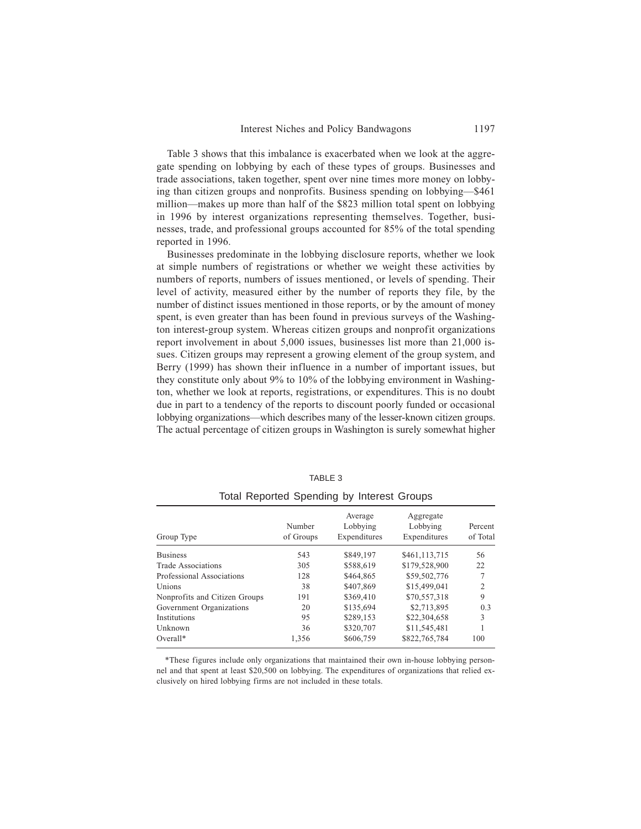Table 3 shows that this imbalance is exacerbated when we look at the aggregate spending on lobbying by each of these types of groups. Businesses and trade associations, taken together, spent over nine times more money on lobbying than citizen groups and nonprofits. Business spending on lobbying—\$461 million—makes up more than half of the \$823 million total spent on lobbying in 1996 by interest organizations representing themselves. Together, businesses, trade, and professional groups accounted for 85% of the total spending reported in 1996.

Businesses predominate in the lobbying disclosure reports, whether we look at simple numbers of registrations or whether we weight these activities by numbers of reports, numbers of issues mentioned, or levels of spending. Their level of activity, measured either by the number of reports they file, by the number of distinct issues mentioned in those reports, or by the amount of money spent, is even greater than has been found in previous surveys of the Washington interest-group system. Whereas citizen groups and nonprofit organizations report involvement in about 5,000 issues, businesses list more than 21,000 issues. Citizen groups may represent a growing element of the group system, and Berry (1999) has shown their influence in a number of important issues, but they constitute only about 9% to 10% of the lobbying environment in Washington, whether we look at reports, registrations, or expenditures. This is no doubt due in part to a tendency of the reports to discount poorly funded or occasional lobbying organizations—which describes many of the lesser-known citizen groups. The actual percentage of citizen groups in Washington is surely somewhat higher

| Group Type                    | Number<br>of Groups | Average<br>Lobbying<br>Expenditures | Aggregate<br>Lobbying<br>Expenditures | Percent<br>of Total |
|-------------------------------|---------------------|-------------------------------------|---------------------------------------|---------------------|
| <b>Business</b>               | 543                 | \$849,197                           | \$461,113,715                         | 56                  |
| Trade Associations            | 305                 | \$588,619                           | \$179,528,900                         | 22                  |
| Professional Associations     | 128                 | \$464,865                           | \$59,502,776                          | 7                   |
| Unions                        | 38                  | \$407,869                           | \$15,499,041                          | $\overline{2}$      |
| Nonprofits and Citizen Groups | 191                 | \$369,410                           | \$70,557,318                          | 9                   |
| Government Organizations      | 20                  | \$135,694                           | \$2,713,895                           | 0.3                 |
| Institutions                  | 95                  | \$289,153                           | \$22,304,658                          | 3                   |
| Unknown                       | 36                  | \$320,707                           | \$11,545,481                          |                     |
| Overall*                      | 1,356               | \$606,759                           | \$822,765,784                         | 100                 |

#### TABLE 3

#### Total Reported Spending by Interest Groups

\*These figures include only organizations that maintained their own in-house lobbying personnel and that spent at least \$20,500 on lobbying. The expenditures of organizations that relied exclusively on hired lobbying firms are not included in these totals.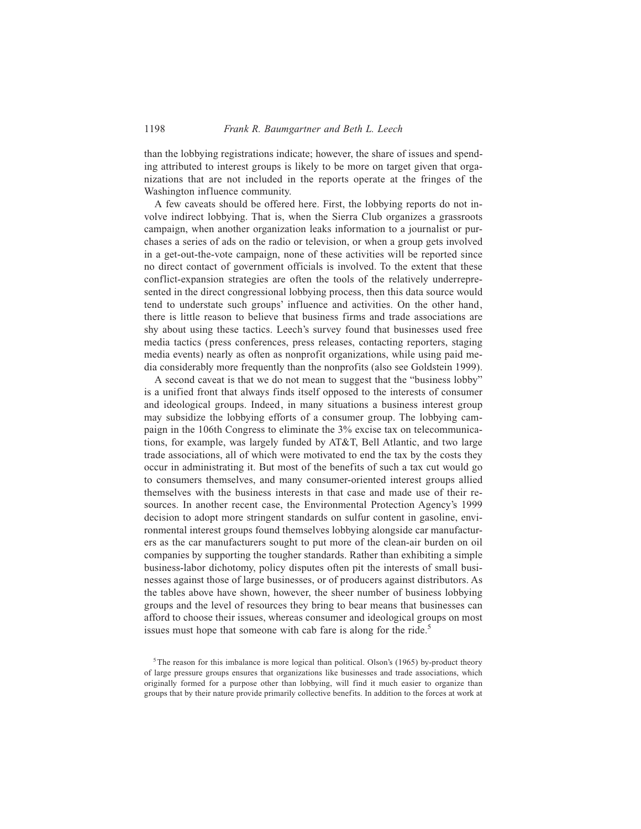than the lobbying registrations indicate; however, the share of issues and spending attributed to interest groups is likely to be more on target given that organizations that are not included in the reports operate at the fringes of the Washington influence community.

A few caveats should be offered here. First, the lobbying reports do not involve indirect lobbying. That is, when the Sierra Club organizes a grassroots campaign, when another organization leaks information to a journalist or purchases a series of ads on the radio or television, or when a group gets involved in a get-out-the-vote campaign, none of these activities will be reported since no direct contact of government officials is involved. To the extent that these conflict-expansion strategies are often the tools of the relatively underrepresented in the direct congressional lobbying process, then this data source would tend to understate such groups' influence and activities. On the other hand, there is little reason to believe that business firms and trade associations are shy about using these tactics. Leech's survey found that businesses used free media tactics (press conferences, press releases, contacting reporters, staging media events) nearly as often as nonprofit organizations, while using paid media considerably more frequently than the nonprofits (also see Goldstein 1999).

A second caveat is that we do not mean to suggest that the "business lobby" is a unified front that always finds itself opposed to the interests of consumer and ideological groups. Indeed, in many situations a business interest group may subsidize the lobbying efforts of a consumer group. The lobbying campaign in the 106th Congress to eliminate the 3% excise tax on telecommunications, for example, was largely funded by AT&T, Bell Atlantic, and two large trade associations, all of which were motivated to end the tax by the costs they occur in administrating it. But most of the benefits of such a tax cut would go to consumers themselves, and many consumer-oriented interest groups allied themselves with the business interests in that case and made use of their resources. In another recent case, the Environmental Protection Agency's 1999 decision to adopt more stringent standards on sulfur content in gasoline, environmental interest groups found themselves lobbying alongside car manufacturers as the car manufacturers sought to put more of the clean-air burden on oil companies by supporting the tougher standards. Rather than exhibiting a simple business-labor dichotomy, policy disputes often pit the interests of small businesses against those of large businesses, or of producers against distributors. As the tables above have shown, however, the sheer number of business lobbying groups and the level of resources they bring to bear means that businesses can afford to choose their issues, whereas consumer and ideological groups on most issues must hope that someone with cab fare is along for the ride.<sup>5</sup>

<sup>5</sup>The reason for this imbalance is more logical than political. Olson's (1965) by-product theory of large pressure groups ensures that organizations like businesses and trade associations, which originally formed for a purpose other than lobbying, will find it much easier to organize than groups that by their nature provide primarily collective benefits. In addition to the forces at work at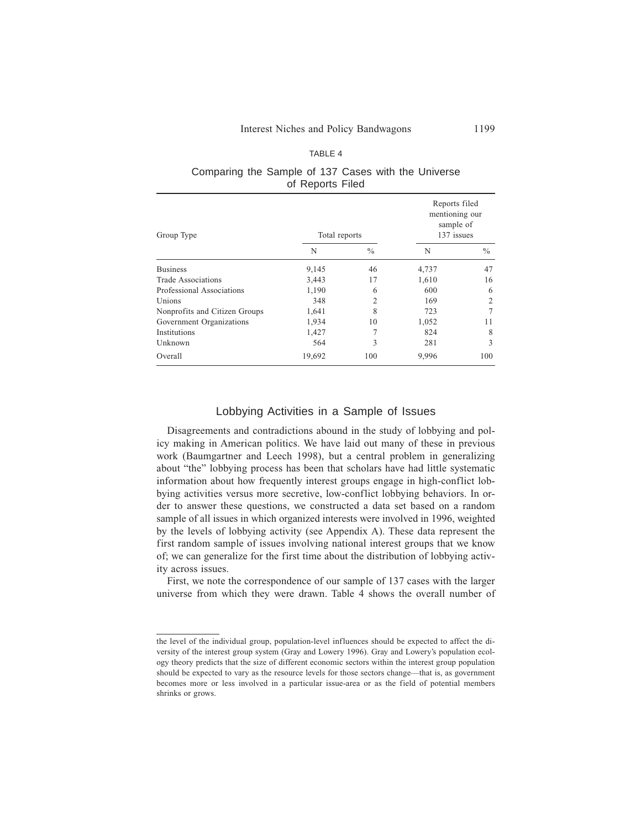#### TABLE 4

| Group Type                    | Total reports |      | Reports filed<br>mentioning our<br>sample of<br>137 issues |      |  |
|-------------------------------|---------------|------|------------------------------------------------------------|------|--|
|                               | N             | $\%$ | N                                                          | $\%$ |  |
| <b>Business</b>               | 9,145         | 46   | 4,737                                                      | 47   |  |
| <b>Trade Associations</b>     | 3,443         | 17   | 1,610                                                      | 16   |  |
| Professional Associations     | 1,190         | 6    | 600                                                        | 6    |  |
| Unions                        | 348           | 2    | 169                                                        | 2    |  |
| Nonprofits and Citizen Groups | 1,641         | 8    | 723                                                        | 7    |  |
| Government Organizations      | 1,934         | 10   | 1,052                                                      | 11   |  |
| Institutions                  | 1,427         |      | 824                                                        | 8    |  |
| Unknown                       | 564           | 3    | 281                                                        | 3    |  |
| Overall                       | 19,692        | 100  | 9,996                                                      | 100  |  |

## Comparing the Sample of 137 Cases with the Universe of Reports Filed

#### Lobbying Activities in a Sample of Issues

Disagreements and contradictions abound in the study of lobbying and policy making in American politics. We have laid out many of these in previous work (Baumgartner and Leech 1998), but a central problem in generalizing about "the" lobbying process has been that scholars have had little systematic information about how frequently interest groups engage in high-conflict lobbying activities versus more secretive, low-conflict lobbying behaviors. In order to answer these questions, we constructed a data set based on a random sample of all issues in which organized interests were involved in 1996, weighted by the levels of lobbying activity (see Appendix A). These data represent the first random sample of issues involving national interest groups that we know of; we can generalize for the first time about the distribution of lobbying activity across issues.

First, we note the correspondence of our sample of 137 cases with the larger universe from which they were drawn. Table 4 shows the overall number of

the level of the individual group, population-level influences should be expected to affect the diversity of the interest group system (Gray and Lowery 1996). Gray and Lowery's population ecology theory predicts that the size of different economic sectors within the interest group population should be expected to vary as the resource levels for those sectors change—that is, as government becomes more or less involved in a particular issue-area or as the field of potential members shrinks or grows.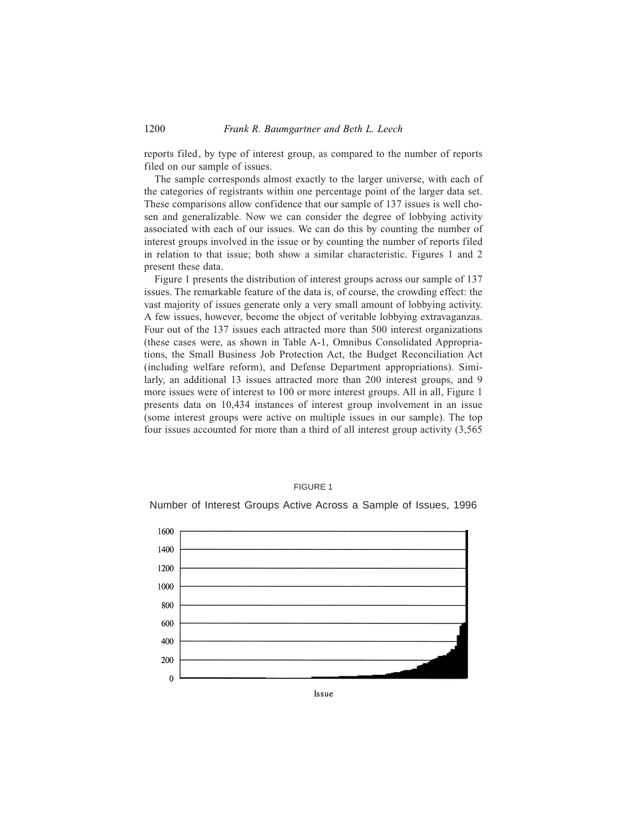reports filed, by type of interest group, as compared to the number of reports filed on our sample of issues.

The sample corresponds almost exactly to the larger universe, with each of the categories of registrants within one percentage point of the larger data set. These comparisons allow confidence that our sample of 137 issues is well chosen and generalizable. Now we can consider the degree of lobbying activity associated with each of our issues. We can do this by counting the number of interest groups involved in the issue or by counting the number of reports filed in relation to that issue; both show a similar characteristic. Figures 1 and 2 present these data.

Figure 1 presents the distribution of interest groups across our sample of 137 issues. The remarkable feature of the data is, of course, the crowding effect: the vast majority of issues generate only a very small amount of lobbying activity. A few issues, however, become the object of veritable lobbying extravaganzas. Four out of the 137 issues each attracted more than 500 interest organizations (these cases were, as shown in Table A-1, Omnibus Consolidated Appropriations, the Small Business Job Protection Act, the Budget Reconciliation Act (including welfare reform), and Defense Department appropriations). Similarly, an additional 13 issues attracted more than 200 interest groups, and 9 more issues were of interest to 100 or more interest groups. All in all, Figure 1 presents data on 10,434 instances of interest group involvement in an issue (some interest groups were active on multiple issues in our sample). The top four issues accounted for more than a third of all interest group activity (3,565

#### FIGURE 1

Number of Interest Groups Active Across a Sample of Issues, 1996

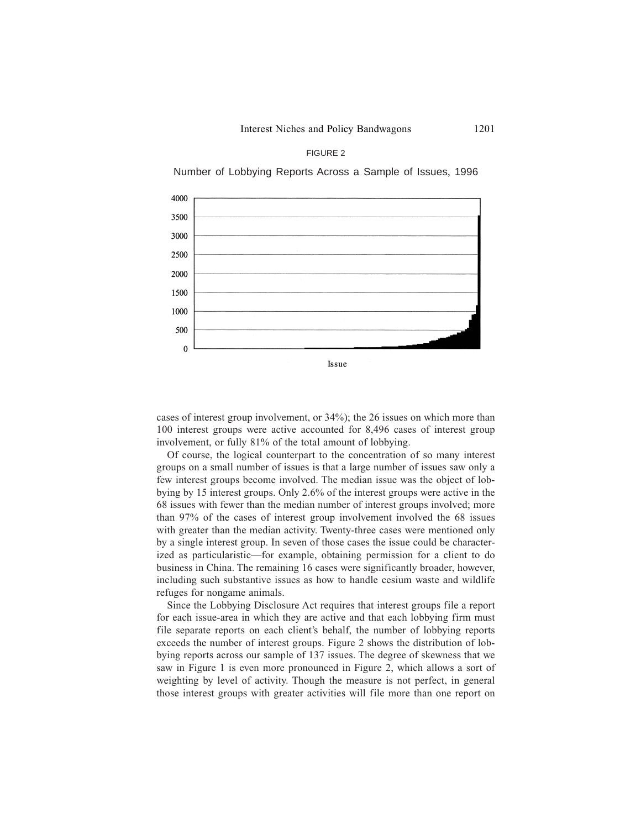



cases of interest group involvement, or 34%); the 26 issues on which more than 100 interest groups were active accounted for 8,496 cases of interest group involvement, or fully 81% of the total amount of lobbying.

Of course, the logical counterpart to the concentration of so many interest groups on a small number of issues is that a large number of issues saw only a few interest groups become involved. The median issue was the object of lobbying by 15 interest groups. Only 2.6% of the interest groups were active in the 68 issues with fewer than the median number of interest groups involved; more than 97% of the cases of interest group involvement involved the 68 issues with greater than the median activity. Twenty-three cases were mentioned only by a single interest group. In seven of those cases the issue could be characterized as particularistic—for example, obtaining permission for a client to do business in China. The remaining 16 cases were significantly broader, however, including such substantive issues as how to handle cesium waste and wildlife refuges for nongame animals.

Since the Lobbying Disclosure Act requires that interest groups file a report for each issue-area in which they are active and that each lobbying firm must file separate reports on each client's behalf, the number of lobbying reports exceeds the number of interest groups. Figure 2 shows the distribution of lobbying reports across our sample of 137 issues. The degree of skewness that we saw in Figure 1 is even more pronounced in Figure 2, which allows a sort of weighting by level of activity. Though the measure is not perfect, in general those interest groups with greater activities will file more than one report on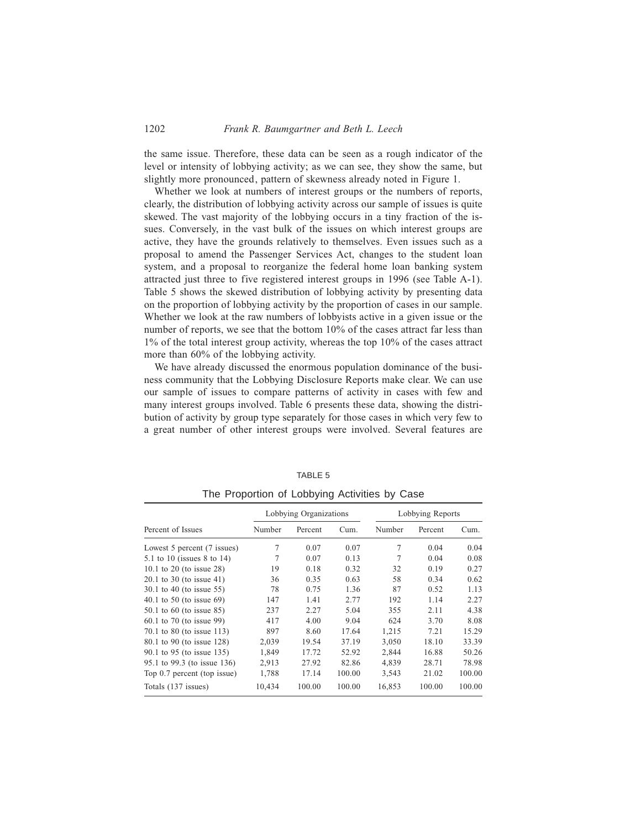the same issue. Therefore, these data can be seen as a rough indicator of the level or intensity of lobbying activity; as we can see, they show the same, but slightly more pronounced, pattern of skewness already noted in Figure 1.

Whether we look at numbers of interest groups or the numbers of reports, clearly, the distribution of lobbying activity across our sample of issues is quite skewed. The vast majority of the lobbying occurs in a tiny fraction of the issues. Conversely, in the vast bulk of the issues on which interest groups are active, they have the grounds relatively to themselves. Even issues such as a proposal to amend the Passenger Services Act, changes to the student loan system, and a proposal to reorganize the federal home loan banking system attracted just three to five registered interest groups in 1996 (see Table A-1). Table 5 shows the skewed distribution of lobbying activity by presenting data on the proportion of lobbying activity by the proportion of cases in our sample. Whether we look at the raw numbers of lobbyists active in a given issue or the number of reports, we see that the bottom 10% of the cases attract far less than 1% of the total interest group activity, whereas the top 10% of the cases attract more than 60% of the lobbying activity.

We have already discussed the enormous population dominance of the business community that the Lobbying Disclosure Reports make clear. We can use our sample of issues to compare patterns of activity in cases with few and many interest groups involved. Table 6 presents these data, showing the distribution of activity by group type separately for those cases in which very few to a great number of other interest groups were involved. Several features are

|                             |        | Lobbying Organizations |        | Lobbying Reports |         |        |  |
|-----------------------------|--------|------------------------|--------|------------------|---------|--------|--|
| Percent of Issues           | Number | Percent                | Cum.   | Number           | Percent | Cum.   |  |
| Lowest 5 percent (7 issues) | 7      | 0.07                   | 0.07   | 7                | 0.04    | 0.04   |  |
| 5.1 to 10 (issues 8 to 14)  |        | 0.07                   | 0.13   | 7                | 0.04    | 0.08   |  |
| 10.1 to 20 (to issue 28)    | 19     | 0.18                   | 0.32   | 32               | 0.19    | 0.27   |  |
| 20.1 to 30 (to issue 41)    | 36     | 0.35                   | 0.63   | 58               | 0.34    | 0.62   |  |
| 30.1 to 40 (to issue 55)    | 78     | 0.75                   | 1.36   | 87               | 0.52    | 1.13   |  |
| 40.1 to 50 (to issue 69)    | 147    | 1.41                   | 2.77   | 192              | 1.14    | 2.27   |  |
| 50.1 to 60 (to issue 85)    | 237    | 2.27                   | 5.04   | 355              | 2.11    | 4.38   |  |
| 60.1 to 70 (to issue 99)    | 417    | 4.00                   | 9.04   | 624              | 3.70    | 8.08   |  |
| 70.1 to 80 (to issue 113)   | 897    | 8.60                   | 17.64  | 1,215            | 7.21    | 15.29  |  |
| 80.1 to 90 (to issue 128)   | 2,039  | 19.54                  | 37.19  | 3,050            | 18.10   | 33.39  |  |
| 90.1 to 95 (to issue 135)   | 1,849  | 17.72                  | 52.92  | 2,844            | 16.88   | 50.26  |  |
| 95.1 to 99.3 (to issue 136) | 2,913  | 27.92                  | 82.86  | 4,839            | 28.71   | 78.98  |  |
| Top 0.7 percent (top issue) | 1,788  | 17.14                  | 100.00 | 3,543            | 21.02   | 100.00 |  |
| Totals (137 issues)         | 10,434 | 100.00                 | 100.00 | 16,853           | 100.00  | 100.00 |  |

TABLE 5

# The Proportion of Lobbying Activities by Case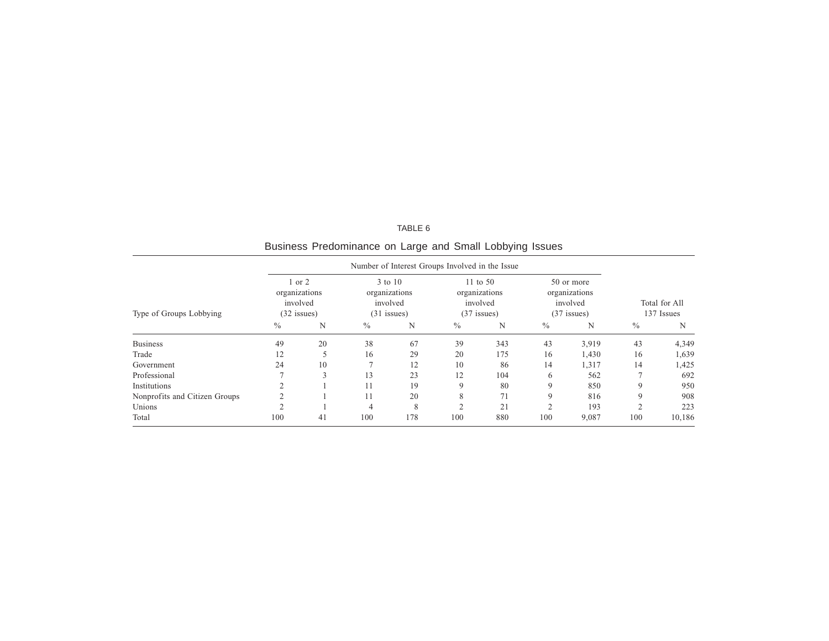|                                                          | TABLE 6 |  |  |
|----------------------------------------------------------|---------|--|--|
| Business Predominance on Large and Small Lobbying Issues |         |  |  |

|                               |                                                      | Number of Interest Groups Involved in the Issue |                                                       |     |                                                          |     |                                                          |       |                             |        |
|-------------------------------|------------------------------------------------------|-------------------------------------------------|-------------------------------------------------------|-----|----------------------------------------------------------|-----|----------------------------------------------------------|-------|-----------------------------|--------|
| Type of Groups Lobbying       | 1 or 2<br>organizations<br>involved<br>$(32$ issues) |                                                 | 3 to 10<br>organizations<br>involved<br>$(31$ issues) |     | 11 to $50$<br>organizations<br>involved<br>$(37$ issues) |     | 50 or more<br>organizations<br>involved<br>$(37$ issues) |       | Total for All<br>137 Issues |        |
|                               | $\frac{0}{0}$                                        | N                                               | $\frac{0}{0}$                                         | N   | $\frac{0}{0}$                                            | N   | $\frac{0}{0}$                                            | N     | $\frac{0}{0}$               | N      |
| <b>Business</b>               | 49                                                   | 20                                              | 38                                                    | 67  | 39                                                       | 343 | 43                                                       | 3,919 | 43                          | 4,349  |
| Trade                         | 12                                                   |                                                 | 16                                                    | 29  | 20                                                       | 175 | 16                                                       | 1,430 | 16                          | 1,639  |
| Government                    | 24                                                   | 10                                              |                                                       | 12  | 10                                                       | 86  | 14                                                       | 1,317 | 14                          | 1,425  |
| Professional                  |                                                      | 3                                               | 13                                                    | 23  | 12                                                       | 104 | 6                                                        | 562   |                             | 692    |
| Institutions                  |                                                      |                                                 | 11                                                    | 19  | 9                                                        | 80  | 9                                                        | 850   | $\mathbf Q$                 | 950    |
| Nonprofits and Citizen Groups |                                                      |                                                 | 11                                                    | 20  | 8                                                        | 71  | 9                                                        | 816   | $\mathbf Q$                 | 908    |
| Unions                        |                                                      |                                                 | $\overline{4}$                                        | 8   | $\overline{2}$                                           | 21  | $\overline{c}$                                           | 193   |                             | 223    |
| Total                         | 100                                                  | 41                                              | 100                                                   | 178 | 100                                                      | 880 | 100                                                      | 9,087 | 100                         | 10,186 |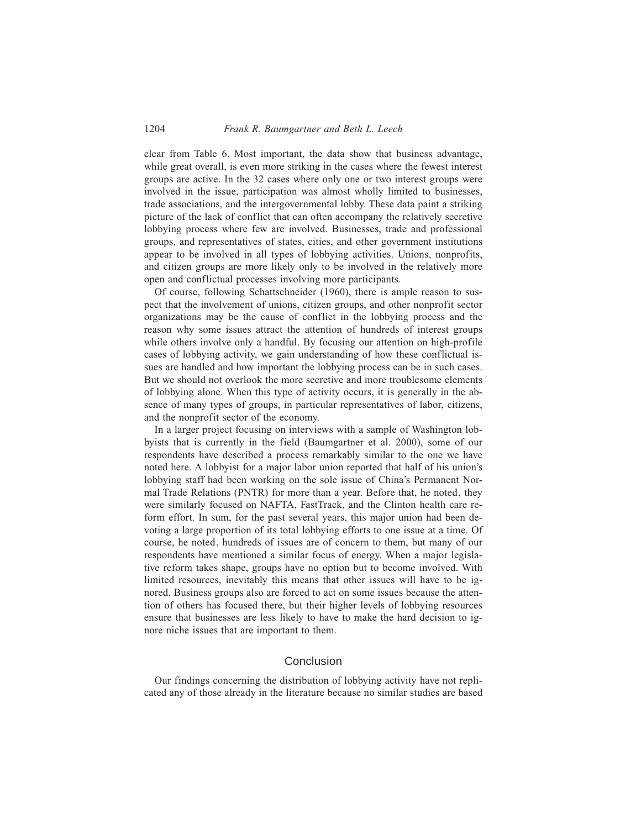clear from Table 6. Most important, the data show that business advantage, while great overall, is even more striking in the cases where the fewest interest groups are active. In the 32 cases where only one or two interest groups were involved in the issue, participation was almost wholly limited to businesses, trade associations, and the intergovernmental lobby. These data paint a striking picture of the lack of conflict that can often accompany the relatively secretive lobbying process where few are involved. Businesses, trade and professional groups, and representatives of states, cities, and other government institutions appear to be involved in all types of lobbying activities. Unions, nonprofits, and citizen groups are more likely only to be involved in the relatively more open and conflictual processes involving more participants.

Of course, following Schattschneider (1960), there is ample reason to suspect that the involvement of unions, citizen groups, and other nonprofit sector organizations may be the cause of conflict in the lobbying process and the reason why some issues attract the attention of hundreds of interest groups while others involve only a handful. By focusing our attention on high-profile cases of lobbying activity, we gain understanding of how these conflictual issues are handled and how important the lobbying process can be in such cases. But we should not overlook the more secretive and more troublesome elements of lobbying alone. When this type of activity occurs, it is generally in the absence of many types of groups, in particular representatives of labor, citizens, and the nonprofit sector of the economy.

In a larger project focusing on interviews with a sample of Washington lobbyists that is currently in the field (Baumgartner et al. 2000), some of our respondents have described a process remarkably similar to the one we have noted here. A lobbyist for a major labor union reported that half of his union's lobbying staff had been working on the sole issue of China's Permanent Normal Trade Relations (PNTR) for more than a year. Before that, he noted, they were similarly focused on NAFTA, FastTrack, and the Clinton health care reform effort. In sum, for the past several years, this major union had been devoting a large proportion of its total lobbying efforts to one issue at a time. Of course, he noted, hundreds of issues are of concern to them, but many of our respondents have mentioned a similar focus of energy. When a major legislative reform takes shape, groups have no option but to become involved. With limited resources, inevitably this means that other issues will have to be ignored. Business groups also are forced to act on some issues because the attention of others has focused there, but their higher levels of lobbying resources ensure that businesses are less likely to have to make the hard decision to ignore niche issues that are important to them.

#### Conclusion

Our findings concerning the distribution of lobbying activity have not replicated any of those already in the literature because no similar studies are based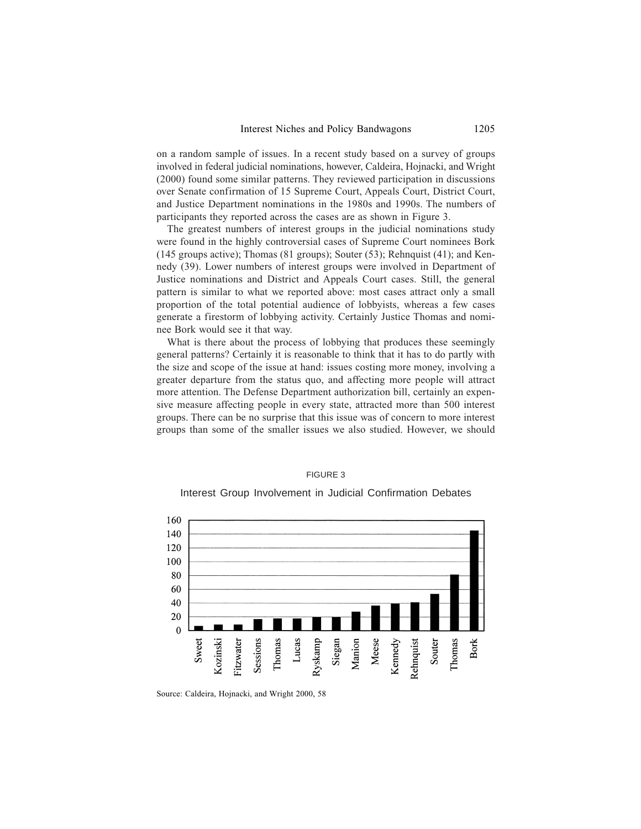on a random sample of issues. In a recent study based on a survey of groups involved in federal judicial nominations, however, Caldeira, Hojnacki, and Wright (2000) found some similar patterns. They reviewed participation in discussions over Senate confirmation of 15 Supreme Court, Appeals Court, District Court, and Justice Department nominations in the 1980s and 1990s. The numbers of participants they reported across the cases are as shown in Figure 3.

The greatest numbers of interest groups in the judicial nominations study were found in the highly controversial cases of Supreme Court nominees Bork (145 groups active); Thomas (81 groups); Souter (53); Rehnquist (41); and Kennedy (39). Lower numbers of interest groups were involved in Department of Justice nominations and District and Appeals Court cases. Still, the general pattern is similar to what we reported above: most cases attract only a small proportion of the total potential audience of lobbyists, whereas a few cases generate a firestorm of lobbying activity. Certainly Justice Thomas and nominee Bork would see it that way.

What is there about the process of lobbying that produces these seemingly general patterns? Certainly it is reasonable to think that it has to do partly with the size and scope of the issue at hand: issues costing more money, involving a greater departure from the status quo, and affecting more people will attract more attention. The Defense Department authorization bill, certainly an expensive measure affecting people in every state, attracted more than 500 interest groups. There can be no surprise that this issue was of concern to more interest groups than some of the smaller issues we also studied. However, we should



#### FIGURE 3

Interest Group Involvement in Judicial Confirmation Debates

Source: Caldeira, Hojnacki, and Wright 2000, 58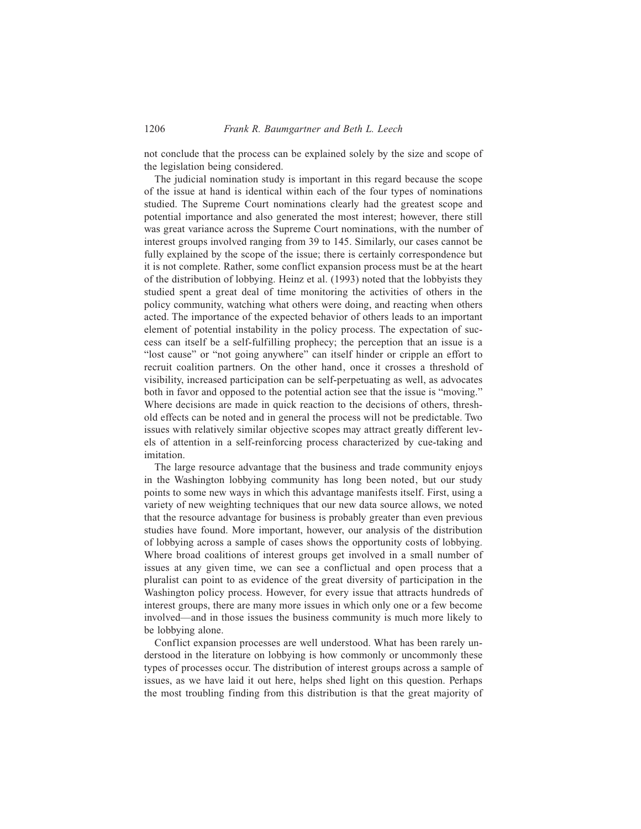not conclude that the process can be explained solely by the size and scope of the legislation being considered.

The judicial nomination study is important in this regard because the scope of the issue at hand is identical within each of the four types of nominations studied. The Supreme Court nominations clearly had the greatest scope and potential importance and also generated the most interest; however, there still was great variance across the Supreme Court nominations, with the number of interest groups involved ranging from 39 to 145. Similarly, our cases cannot be fully explained by the scope of the issue; there is certainly correspondence but it is not complete. Rather, some conflict expansion process must be at the heart of the distribution of lobbying. Heinz et al. (1993) noted that the lobbyists they studied spent a great deal of time monitoring the activities of others in the policy community, watching what others were doing, and reacting when others acted. The importance of the expected behavior of others leads to an important element of potential instability in the policy process. The expectation of success can itself be a self-fulfilling prophecy; the perception that an issue is a "lost cause" or "not going anywhere" can itself hinder or cripple an effort to recruit coalition partners. On the other hand, once it crosses a threshold of visibility, increased participation can be self-perpetuating as well, as advocates both in favor and opposed to the potential action see that the issue is "moving." Where decisions are made in quick reaction to the decisions of others, threshold effects can be noted and in general the process will not be predictable. Two issues with relatively similar objective scopes may attract greatly different levels of attention in a self-reinforcing process characterized by cue-taking and imitation.

The large resource advantage that the business and trade community enjoys in the Washington lobbying community has long been noted, but our study points to some new ways in which this advantage manifests itself. First, using a variety of new weighting techniques that our new data source allows, we noted that the resource advantage for business is probably greater than even previous studies have found. More important, however, our analysis of the distribution of lobbying across a sample of cases shows the opportunity costs of lobbying. Where broad coalitions of interest groups get involved in a small number of issues at any given time, we can see a conflictual and open process that a pluralist can point to as evidence of the great diversity of participation in the Washington policy process. However, for every issue that attracts hundreds of interest groups, there are many more issues in which only one or a few become involved—and in those issues the business community is much more likely to be lobbying alone.

Conflict expansion processes are well understood. What has been rarely understood in the literature on lobbying is how commonly or uncommonly these types of processes occur. The distribution of interest groups across a sample of issues, as we have laid it out here, helps shed light on this question. Perhaps the most troubling finding from this distribution is that the great majority of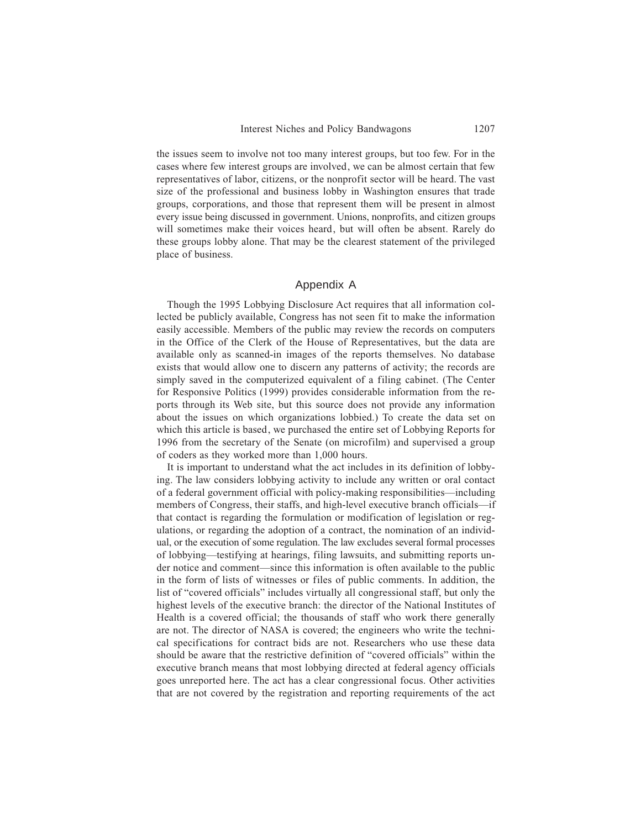the issues seem to involve not too many interest groups, but too few. For in the cases where few interest groups are involved, we can be almost certain that few representatives of labor, citizens, or the nonprofit sector will be heard. The vast size of the professional and business lobby in Washington ensures that trade groups, corporations, and those that represent them will be present in almost every issue being discussed in government. Unions, nonprofits, and citizen groups will sometimes make their voices heard, but will often be absent. Rarely do these groups lobby alone. That may be the clearest statement of the privileged place of business.

## Appendix A

Though the 1995 Lobbying Disclosure Act requires that all information collected be publicly available, Congress has not seen fit to make the information easily accessible. Members of the public may review the records on computers in the Office of the Clerk of the House of Representatives, but the data are available only as scanned-in images of the reports themselves. No database exists that would allow one to discern any patterns of activity; the records are simply saved in the computerized equivalent of a filing cabinet. (The Center for Responsive Politics (1999) provides considerable information from the reports through its Web site, but this source does not provide any information about the issues on which organizations lobbied.) To create the data set on which this article is based, we purchased the entire set of Lobbying Reports for 1996 from the secretary of the Senate (on microfilm) and supervised a group of coders as they worked more than 1,000 hours.

It is important to understand what the act includes in its definition of lobbying. The law considers lobbying activity to include any written or oral contact of a federal government official with policy-making responsibilities—including members of Congress, their staffs, and high-level executive branch officials—if that contact is regarding the formulation or modification of legislation or regulations, or regarding the adoption of a contract, the nomination of an individual, or the execution of some regulation. The law excludes several formal processes of lobbying—testifying at hearings, filing lawsuits, and submitting reports under notice and comment—since this information is often available to the public in the form of lists of witnesses or files of public comments. In addition, the list of "covered officials" includes virtually all congressional staff, but only the highest levels of the executive branch: the director of the National Institutes of Health is a covered official; the thousands of staff who work there generally are not. The director of NASA is covered; the engineers who write the technical specifications for contract bids are not. Researchers who use these data should be aware that the restrictive definition of "covered officials" within the executive branch means that most lobbying directed at federal agency officials goes unreported here. The act has a clear congressional focus. Other activities that are not covered by the registration and reporting requirements of the act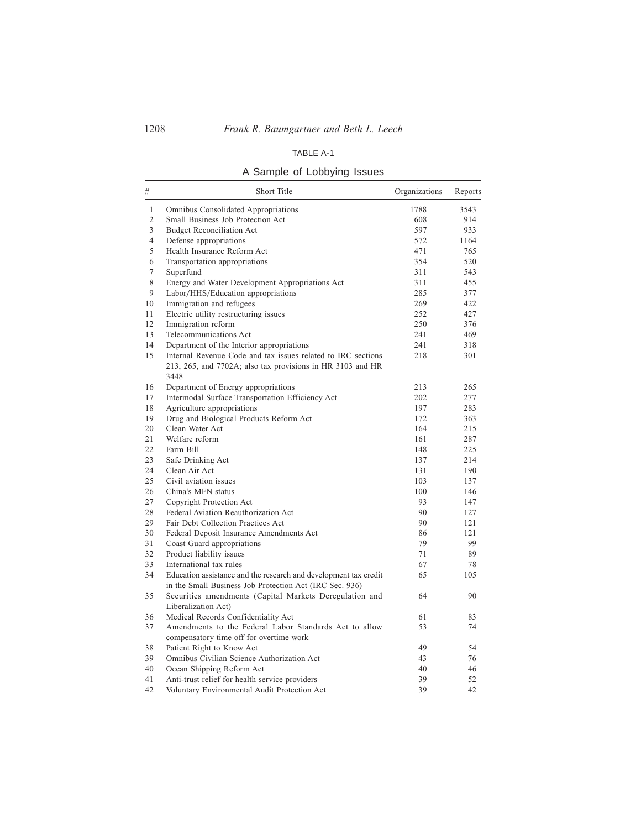## TABLE A-1

# A Sample of Lobbying Issues # Short Title Organizations Reports

| $\mathbf{1}$   | Omnibus Consolidated Appropriations                                                     | 1788       | 3543       |
|----------------|-----------------------------------------------------------------------------------------|------------|------------|
| $\overline{2}$ | Small Business Job Protection Act                                                       | 608        | 914        |
| 3              | <b>Budget Reconciliation Act</b>                                                        | 597        | 933        |
| $\overline{4}$ | Defense appropriations                                                                  | 572        | 1164       |
| 5              | Health Insurance Reform Act                                                             | 471        | 765        |
| 6              | Transportation appropriations                                                           | 354        | 520        |
| 7              | Superfund                                                                               | 311        | 543        |
| 8              | Energy and Water Development Appropriations Act                                         | 311        | 455        |
| 9              | Labor/HHS/Education appropriations                                                      | 285        | 377        |
| 10             | Immigration and refugees                                                                | 269        | 422        |
| 11             | Electric utility restructuring issues                                                   | 252        | 427        |
| 12             | Immigration reform                                                                      | 250        | 376        |
| 13             | Telecommunications Act                                                                  | 241        | 469        |
| 14             | Department of the Interior appropriations                                               | 241        | 318        |
| 15             | Internal Revenue Code and tax issues related to IRC sections                            | 218        | 301        |
|                | 213, 265, and 7702A; also tax provisions in HR 3103 and HR                              |            |            |
|                | 3448                                                                                    |            |            |
| 16<br>17       | Department of Energy appropriations<br>Intermodal Surface Transportation Efficiency Act | 213<br>202 | 265<br>277 |
| 18             | Agriculture appropriations                                                              | 197        | 283        |
| 19             | Drug and Biological Products Reform Act                                                 | 172        | 363        |
| 20             | Clean Water Act                                                                         | 164        | 215        |
| 21             | Welfare reform                                                                          | 161        | 287        |
| 22             | Farm Bill                                                                               | 148        | 225        |
| 23             | Safe Drinking Act                                                                       | 137        | 214        |
| 24             | Clean Air Act                                                                           | 131        | 190        |
| 25             | Civil aviation issues                                                                   | 103        | 137        |
| 26             | China's MFN status                                                                      | 100        | 146        |
| 27             | Copyright Protection Act                                                                | 93         | 147        |
| 28             | Federal Aviation Reauthorization Act                                                    | 90         | 127        |
| 29             | Fair Debt Collection Practices Act                                                      | 90         | 121        |
| 30             | Federal Deposit Insurance Amendments Act                                                | 86         | 121        |
| 31             | Coast Guard appropriations                                                              | 79         | 99         |
| 32             | Product liability issues                                                                | 71         | 89         |
| 33             | International tax rules                                                                 | 67         | 78         |
| 34             | Education assistance and the research and development tax credit                        | 65         | 105        |
|                | in the Small Business Job Protection Act (IRC Sec. 936)                                 |            |            |
| 35             | Securities amendments (Capital Markets Deregulation and                                 | 64         | 90         |
|                | Liberalization Act)                                                                     |            |            |
| 36             | Medical Records Confidentiality Act                                                     | 61         | 83         |
| 37             | Amendments to the Federal Labor Standards Act to allow                                  | 53         | 74         |
|                | compensatory time off for overtime work                                                 |            |            |
| 38             | Patient Right to Know Act                                                               | 49         | 54         |
| 39             | Omnibus Civilian Science Authorization Act                                              | 43         | 76         |
| 40             | Ocean Shipping Reform Act                                                               | 40         | 46         |
| 41             | Anti-trust relief for health service providers                                          | 39         | 52         |
| 42             | Voluntary Environmental Audit Protection Act                                            | 39         | 42         |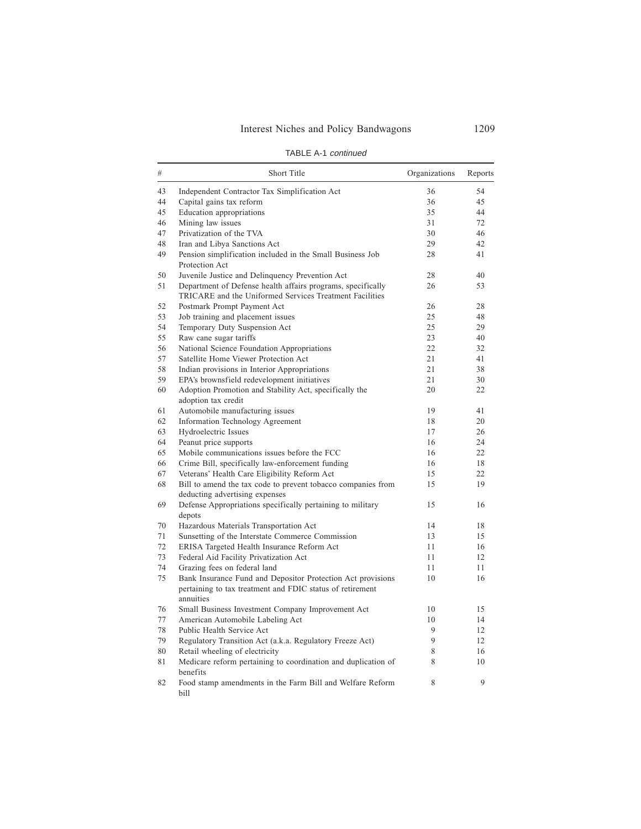| #  | <b>Short Title</b>                                                                                                                    | Organizations | Reports |
|----|---------------------------------------------------------------------------------------------------------------------------------------|---------------|---------|
| 43 | Independent Contractor Tax Simplification Act                                                                                         | 36            | 54      |
| 44 | Capital gains tax reform                                                                                                              | 36            | 45      |
| 45 | Education appropriations                                                                                                              | 35            | 44      |
| 46 | Mining law issues                                                                                                                     | 31            | 72      |
| 47 | Privatization of the TVA                                                                                                              | 30            | 46      |
| 48 | Iran and Libya Sanctions Act                                                                                                          | 29            | 42      |
| 49 | Pension simplification included in the Small Business Job<br>Protection Act                                                           | 28            | 41      |
| 50 | Juvenile Justice and Delinquency Prevention Act                                                                                       | 28            | 40      |
| 51 | Department of Defense health affairs programs, specifically                                                                           | 26            | 53      |
|    | TRICARE and the Uniformed Services Treatment Facilities                                                                               |               |         |
| 52 | Postmark Prompt Payment Act                                                                                                           | 26            | 28      |
| 53 | Job training and placement issues                                                                                                     | 25            | 48      |
| 54 | Temporary Duty Suspension Act                                                                                                         | 25            | 29      |
| 55 | Raw cane sugar tariffs                                                                                                                | 23            | 40      |
| 56 | National Science Foundation Appropriations                                                                                            | 22            | 32      |
| 57 | Satellite Home Viewer Protection Act                                                                                                  | 21            | 41      |
| 58 | Indian provisions in Interior Appropriations                                                                                          | 21            | 38      |
| 59 | EPA's brownsfield redevelopment initiatives                                                                                           | 21            | 30      |
| 60 | Adoption Promotion and Stability Act, specifically the<br>adoption tax credit                                                         | 20            | 22      |
| 61 | Automobile manufacturing issues                                                                                                       | 19            | 41      |
| 62 | <b>Information Technology Agreement</b>                                                                                               | 18            | 20      |
| 63 | Hydroelectric Issues                                                                                                                  | 17            | 26      |
| 64 | Peanut price supports                                                                                                                 | 16            | 24      |
| 65 | Mobile communications issues before the FCC                                                                                           | 16            | 22      |
| 66 | Crime Bill, specifically law-enforcement funding                                                                                      | 16            | 18      |
| 67 | Veterans' Health Care Eligibility Reform Act                                                                                          | 15            | 22      |
| 68 | Bill to amend the tax code to prevent tobacco companies from<br>deducting advertising expenses                                        | 15            | 19      |
| 69 | Defense Appropriations specifically pertaining to military<br>depots                                                                  | 15            | 16      |
| 70 | Hazardous Materials Transportation Act                                                                                                | 14            | 18      |
| 71 | Sunsetting of the Interstate Commerce Commission                                                                                      | 13            | 15      |
| 72 | ERISA Targeted Health Insurance Reform Act                                                                                            | 11            | 16      |
| 73 | Federal Aid Facility Privatization Act                                                                                                | 11            | 12      |
| 74 | Grazing fees on federal land                                                                                                          | 11            | 11      |
| 75 | Bank Insurance Fund and Depositor Protection Act provisions<br>pertaining to tax treatment and FDIC status of retirement<br>annuities | 10            | 16      |
| 76 | Small Business Investment Company Improvement Act                                                                                     | 10            | 15      |
| 77 | American Automobile Labeling Act                                                                                                      | 10            | 14      |
| 78 | Public Health Service Act                                                                                                             | 9             | 12      |
| 79 | Regulatory Transition Act (a.k.a. Regulatory Freeze Act)                                                                              | 9             | 12      |
| 80 | Retail wheeling of electricity                                                                                                        | 8             | 16      |
| 81 | Medicare reform pertaining to coordination and duplication of<br>benefits                                                             | 8             | 10      |

TABLE A-1 continued

82 Food stamp amendments in the Farm Bill and Welfare Reform bill 8 9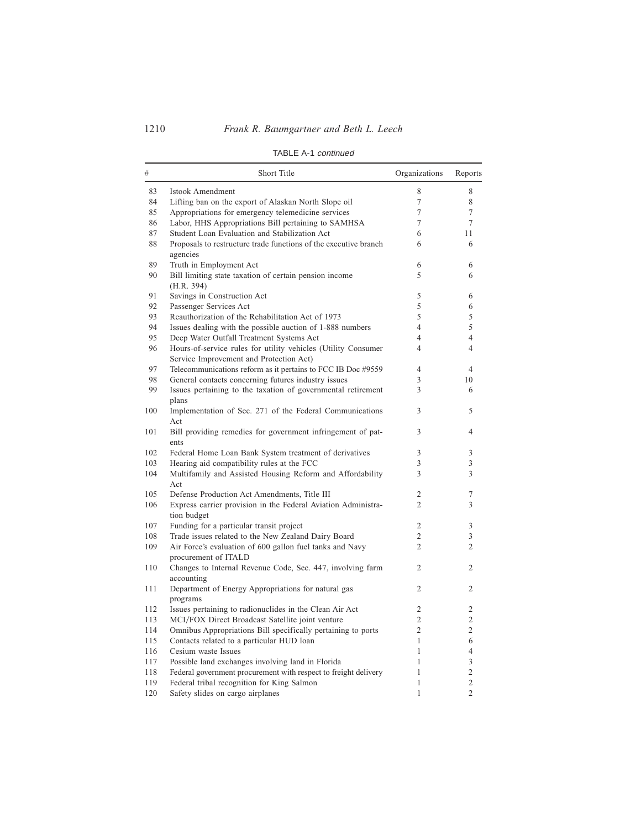| $_{\#}$ | Short Title                                                      | Organizations  | Reports        |
|---------|------------------------------------------------------------------|----------------|----------------|
| 83      | Istook Amendment                                                 | 8              | 8              |
| 84      | Lifting ban on the export of Alaskan North Slope oil             | 7              | 8              |
| 85      | Appropriations for emergency telemedicine services               | 7              | 7              |
| 86      | Labor, HHS Appropriations Bill pertaining to SAMHSA              | 7              | 7              |
| 87      | Student Loan Evaluation and Stabilization Act                    | 6              | 11             |
| 88      | Proposals to restructure trade functions of the executive branch | 6              | 6              |
|         | agencies                                                         |                |                |
| 89      | Truth in Employment Act                                          | 6              | 6              |
| 90      | Bill limiting state taxation of certain pension income           | 5              | 6              |
|         | (H.R. 394)                                                       |                |                |
| 91      | Savings in Construction Act                                      | 5              | 6              |
| 92      | Passenger Services Act                                           | 5              | 6              |
| 93      | Reauthorization of the Rehabilitation Act of 1973                | 5              | 5              |
| 94      | Issues dealing with the possible auction of 1-888 numbers        | $\overline{4}$ | 5              |
| 95      | Deep Water Outfall Treatment Systems Act                         | $\overline{4}$ | $\overline{4}$ |
| 96      | Hours-of-service rules for utility vehicles (Utility Consumer    | $\overline{4}$ | $\overline{4}$ |
|         | Service Improvement and Protection Act)                          |                |                |
| 97      | Telecommunications reform as it pertains to FCC IB Doc #9559     | 4              | $\overline{4}$ |
| 98      | General contacts concerning futures industry issues              | 3              | 10             |
| 99      | Issues pertaining to the taxation of governmental retirement     | 3              | 6              |
|         | plans                                                            |                |                |
| 100     | Implementation of Sec. 271 of the Federal Communications         | 3              | 5              |
|         | Act                                                              |                |                |
| 101     | Bill providing remedies for government infringement of pat-      | 3              | $\overline{4}$ |
|         | ents                                                             |                |                |
| 102     | Federal Home Loan Bank System treatment of derivatives           | 3              | 3              |
| 103     | Hearing aid compatibility rules at the FCC                       | 3              | 3              |
| 104     | Multifamily and Assisted Housing Reform and Affordability        | 3              | 3              |
|         | Act                                                              |                |                |
| 105     | Defense Production Act Amendments, Title III                     | $\overline{c}$ | 7              |
| 106     | Express carrier provision in the Federal Aviation Administra-    | $\overline{2}$ | 3              |
|         | tion budget                                                      |                |                |
| 107     | Funding for a particular transit project                         | 2              | 3              |
| 108     | Trade issues related to the New Zealand Dairy Board              | 2              | 3              |
| 109     | Air Force's evaluation of 600 gallon fuel tanks and Navy         | $\overline{2}$ | $\overline{2}$ |
|         | procurement of ITALD                                             |                |                |
| 110     | Changes to Internal Revenue Code, Sec. 447, involving farm       | 2              | $\overline{2}$ |
|         | accounting                                                       |                |                |
| 111     | Department of Energy Appropriations for natural gas              | 2              | $\overline{2}$ |
|         | programs                                                         |                |                |
| 112     | Issues pertaining to radionuclides in the Clean Air Act          | 2              | $\mathfrak{2}$ |
| 113     | MCI/FOX Direct Broadcast Satellite joint venture                 | $\overline{2}$ | $\mathfrak{2}$ |
| 114     | Omnibus Appropriations Bill specifically pertaining to ports     | $\overline{2}$ | $\overline{c}$ |
| 115     | Contacts related to a particular HUD loan                        | $\mathbf{1}$   | 6              |
| 116     | Cesium waste Issues                                              | $\mathbf{1}$   | $\overline{4}$ |
| 117     | Possible land exchanges involving land in Florida                | 1              | 3              |
| 118     | Federal government procurement with respect to freight delivery  | 1              | 2              |
| 119     | Federal tribal recognition for King Salmon                       | $\mathbf{1}$   | $\mathfrak{2}$ |
| 120     | Safety slides on cargo airplanes                                 | 1              | $\overline{2}$ |

TABLE A-1 continued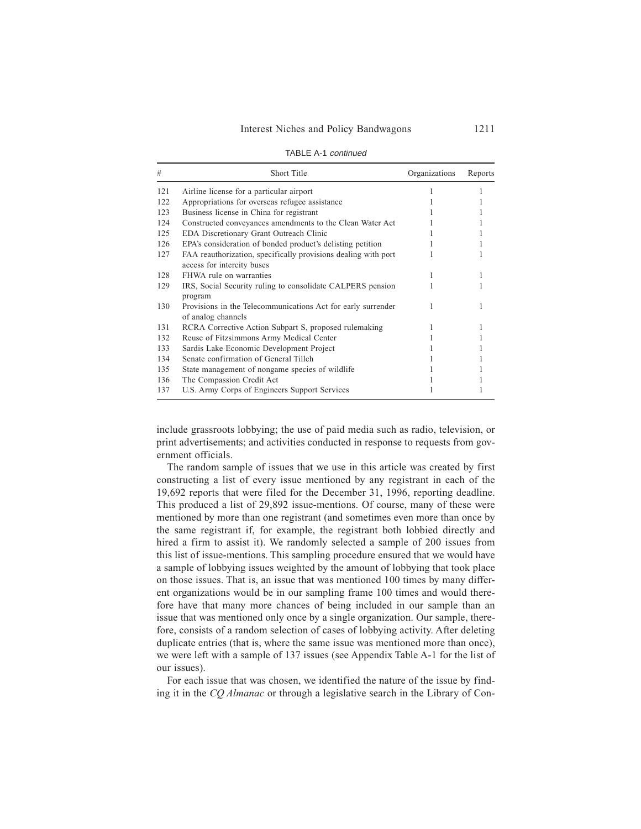| #   | <b>Short Title</b>                                                                           | Organizations | Reports |
|-----|----------------------------------------------------------------------------------------------|---------------|---------|
| 121 | Airline license for a particular airport                                                     |               |         |
| 122 | Appropriations for overseas refugee assistance                                               |               |         |
| 123 | Business license in China for registrant                                                     |               |         |
| 124 | Constructed conveyances amendments to the Clean Water Act                                    |               |         |
| 125 | EDA Discretionary Grant Outreach Clinic                                                      |               |         |
| 126 | EPA's consideration of bonded product's delisting petition                                   |               |         |
| 127 | FAA reauthorization, specifically provisions dealing with port<br>access for intercity buses |               |         |
| 128 | FHWA rule on warranties                                                                      |               |         |
| 129 | IRS, Social Security ruling to consolidate CALPERS pension<br>program                        |               |         |
| 130 | Provisions in the Telecommunications Act for early surrender<br>of analog channels           |               |         |
| 131 | RCRA Corrective Action Subpart S, proposed rulemaking                                        |               |         |
| 132 | Reuse of Fitzsimmons Army Medical Center                                                     |               |         |
| 133 | Sardis Lake Economic Development Project                                                     |               |         |
| 134 | Senate confirmation of General Tillch                                                        |               |         |
| 135 | State management of nongame species of wildlife                                              |               |         |
| 136 | The Compassion Credit Act                                                                    |               |         |
| 137 | U.S. Army Corps of Engineers Support Services                                                |               |         |

TABLE A-1 continued

include grassroots lobbying; the use of paid media such as radio, television, or print advertisements; and activities conducted in response to requests from government officials.

The random sample of issues that we use in this article was created by first constructing a list of every issue mentioned by any registrant in each of the 19,692 reports that were filed for the December 31, 1996, reporting deadline. This produced a list of 29,892 issue-mentions. Of course, many of these were mentioned by more than one registrant (and sometimes even more than once by the same registrant if, for example, the registrant both lobbied directly and hired a firm to assist it). We randomly selected a sample of 200 issues from this list of issue-mentions. This sampling procedure ensured that we would have a sample of lobbying issues weighted by the amount of lobbying that took place on those issues. That is, an issue that was mentioned 100 times by many different organizations would be in our sampling frame 100 times and would therefore have that many more chances of being included in our sample than an issue that was mentioned only once by a single organization. Our sample, therefore, consists of a random selection of cases of lobbying activity. After deleting duplicate entries (that is, where the same issue was mentioned more than once), we were left with a sample of 137 issues (see Appendix Table A-1 for the list of our issues).

For each issue that was chosen, we identified the nature of the issue by finding it in the *CQ Almanac* or through a legislative search in the Library of Con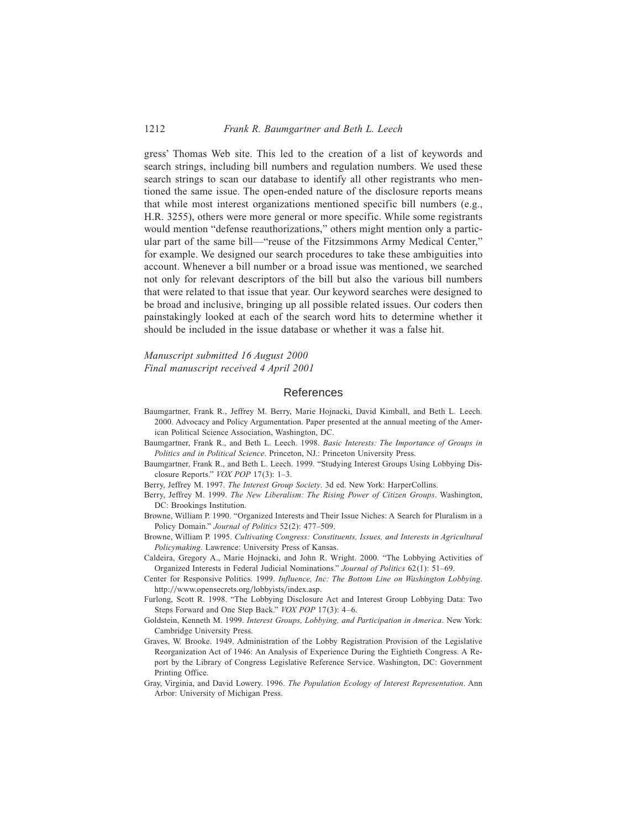gress' Thomas Web site. This led to the creation of a list of keywords and search strings, including bill numbers and regulation numbers. We used these search strings to scan our database to identify all other registrants who mentioned the same issue. The open-ended nature of the disclosure reports means that while most interest organizations mentioned specific bill numbers (e.g., H.R. 3255), others were more general or more specific. While some registrants would mention "defense reauthorizations," others might mention only a particular part of the same bill—"reuse of the Fitzsimmons Army Medical Center," for example. We designed our search procedures to take these ambiguities into account. Whenever a bill number or a broad issue was mentioned, we searched not only for relevant descriptors of the bill but also the various bill numbers that were related to that issue that year. Our keyword searches were designed to be broad and inclusive, bringing up all possible related issues. Our coders then painstakingly looked at each of the search word hits to determine whether it should be included in the issue database or whether it was a false hit.

*Manuscript submitted 16 August 2000 Final manuscript received 4 April 2001*

## References

- Baumgartner, Frank R., Jeffrey M. Berry, Marie Hojnacki, David Kimball, and Beth L. Leech. 2000. Advocacy and Policy Argumentation. Paper presented at the annual meeting of the American Political Science Association, Washington, DC.
- Baumgartner, Frank R., and Beth L. Leech. 1998. *Basic Interests: The Importance of Groups in Politics and in Political Science*. Princeton, NJ.: Princeton University Press.
- Baumgartner, Frank R., and Beth L. Leech. 1999. "Studying Interest Groups Using Lobbying Disclosure Reports." *VOX POP* 17(3): 1–3.
- Berry, Jeffrey M. 1997. *The Interest Group Society*. 3d ed. New York: HarperCollins.
- Berry, Jeffrey M. 1999. *The New Liberalism: The Rising Power of Citizen Groups*. Washington, DC: Brookings Institution.

Browne, William P. 1990. "Organized Interests and Their Issue Niches: A Search for Pluralism in a Policy Domain." *Journal of Politics* 52(2): 477–509.

- Browne, William P. 1995. *Cultivating Congress: Constituents, Issues, and Interests in Agricultural Policymaking*. Lawrence: University Press of Kansas.
- Caldeira, Gregory A., Marie Hojnacki, and John R. Wright. 2000. "The Lobbying Activities of Organized Interests in Federal Judicial Nominations." *Journal of Politics* 62(1): 51–69.
- Center for Responsive Politics. 1999. *Influence, Inc: The Bottom Line on Washington Lobbying*. http://www.opensecrets.org/lobbyists/index.asp.
- Furlong, Scott R. 1998. "The Lobbying Disclosure Act and Interest Group Lobbying Data: Two Steps Forward and One Step Back." *VOX POP* 17(3): 4–6.
- Goldstein, Kenneth M. 1999. *Interest Groups, Lobbying, and Participation in America*. New York: Cambridge University Press.
- Graves, W. Brooke. 1949. Administration of the Lobby Registration Provision of the Legislative Reorganization Act of 1946: An Analysis of Experience During the Eightieth Congress. A Report by the Library of Congress Legislative Reference Service. Washington, DC: Government Printing Office.
- Gray, Virginia, and David Lowery. 1996. *The Population Ecology of Interest Representation*. Ann Arbor: University of Michigan Press.